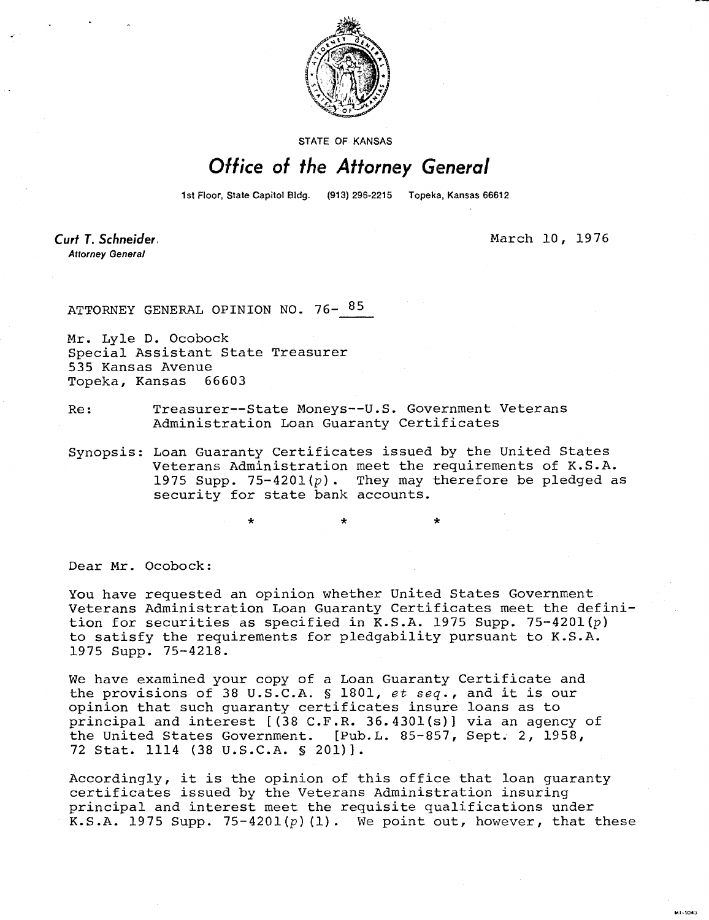

STATE OF KANSAS

## Office of the Attorney General

1st Floor, State Capitol Bldg. (913) 296-2215 Topeka, Kansas 66612

\*

Curt T. Schneider. **Attorney General** 

March 10, 1976

ATTORNEY GENERAL OPINION NO. 76-85

Mr. Lyle D. Ocobock Special Assistant State Treasurer 535 Kansas Avenue Topeka, Kansas 66603

Re: Treasurer--State Moneys--U.S. Government Veterans Administration Loan Guaranty Certificates

Synopsis: Loan Guaranty Certificates issued by the United States Veterans Administration meet the requirements of K.S.A. 1975 Supp. 75-4201( $p$ ). They may therefore be pledged as security for state bank accounts.

Dear Mr. Ocobock:

You have requested an opinion whether United States Government Veterans Administration Loan Guaranty Certificates meet the definition for securities as specified in K.S.A. 1975 Supp. 75-4201 $(p)$ to satisfy the requirements for pledgability pursuant to K.S.A. 1975 Supp. 75-4218.

We have examined your copy of a Loan Guaranty Certificate and the provisions of 38 U.S.C.A. § 1801, et seq., and it is our opinion that such guaranty certificates insure loans as to principal and interest [(38 C.F.R. 36.4301(s)] via an agency of the United States Government. [Pub.L. 85-857, Sept. 2, 1958, 72 Stat. 1114 (38 U.S.C.A. § 201)].

Accordingly, it is the opinion of this office that loan guaranty certificates issued by the Veterans Administration insuring principal and interest meet the requisite qualifications under K.S.A. 1975 Supp. 75-4201(p)(1). We point out, however, that these